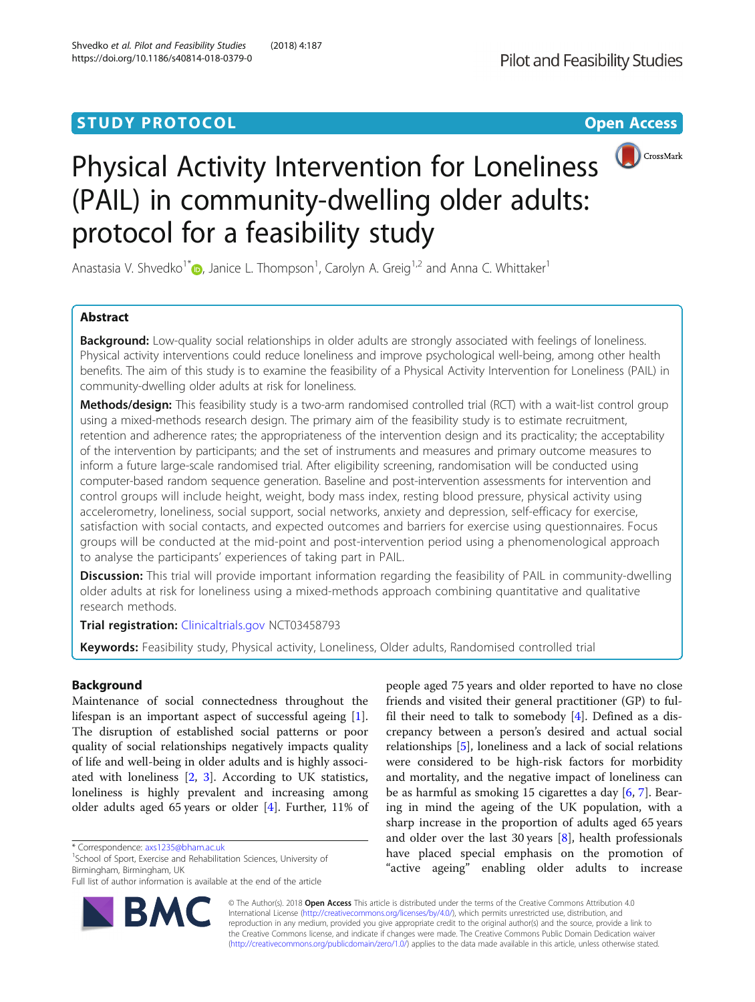# **STUDY PROTOCOL CONSUMING THE CONSUMING OPEN ACCESS**





# Physical Activity Intervention for Loneliness (PAIL) in community-dwelling older adults: protocol for a feasibility study

Anastasia V. Shvedko<sup>1\*</sup>®[,](http://orcid.org/0000-0002-0556-8901) Janice L. Thompson<sup>1</sup>, Carolyn A. Greig<sup>1,2</sup> and Anna C. Whittaker<sup>1</sup>

## Abstract

Background: Low-quality social relationships in older adults are strongly associated with feelings of loneliness. Physical activity interventions could reduce loneliness and improve psychological well-being, among other health benefits. The aim of this study is to examine the feasibility of a Physical Activity Intervention for Loneliness (PAIL) in community-dwelling older adults at risk for loneliness.

Methods/design: This feasibility study is a two-arm randomised controlled trial (RCT) with a wait-list control group using a mixed-methods research design. The primary aim of the feasibility study is to estimate recruitment, retention and adherence rates; the appropriateness of the intervention design and its practicality; the acceptability of the intervention by participants; and the set of instruments and measures and primary outcome measures to inform a future large-scale randomised trial. After eligibility screening, randomisation will be conducted using computer-based random sequence generation. Baseline and post-intervention assessments for intervention and control groups will include height, weight, body mass index, resting blood pressure, physical activity using accelerometry, loneliness, social support, social networks, anxiety and depression, self-efficacy for exercise, satisfaction with social contacts, and expected outcomes and barriers for exercise using questionnaires. Focus groups will be conducted at the mid-point and post-intervention period using a phenomenological approach to analyse the participants' experiences of taking part in PAIL.

**Discussion:** This trial will provide important information regarding the feasibility of PAIL in community-dwelling older adults at risk for loneliness using a mixed-methods approach combining quantitative and qualitative research methods.

Trial registration: [Clinicaltrials.gov](http://clinicaltrials.gov) NCT03458793

Keywords: Feasibility study, Physical activity, Loneliness, Older adults, Randomised controlled trial

### Background

Maintenance of social connectedness throughout the lifespan is an important aspect of successful ageing [\[1](#page-8-0)]. The disruption of established social patterns or poor quality of social relationships negatively impacts quality of life and well-being in older adults and is highly associated with loneliness [[2,](#page-8-0) [3](#page-8-0)]. According to UK statistics, loneliness is highly prevalent and increasing among older adults aged 65 years or older [\[4](#page-8-0)]. Further, 11% of

\* Correspondence: [axs1235@bham.ac.uk](mailto:axs1235@bham.ac.uk) <sup>1</sup>

 $1$ School of Sport, Exercise and Rehabilitation Sciences, University of Birmingham, Birmingham, UK

Full list of author information is available at the end of the article



people aged 75 years and older reported to have no close friends and visited their general practitioner (GP) to fulfil their need to talk to somebody  $[4]$  $[4]$ . Defined as a discrepancy between a person's desired and actual social relationships [\[5](#page-8-0)], loneliness and a lack of social relations were considered to be high-risk factors for morbidity and mortality, and the negative impact of loneliness can be as harmful as smoking 15 cigarettes a day [[6,](#page-8-0) [7\]](#page-8-0). Bearing in mind the ageing of the UK population, with a sharp increase in the proportion of adults aged 65 years and older over the last 30 years  $[8]$  $[8]$ , health professionals have placed special emphasis on the promotion of "active ageing" enabling older adults to increase

© The Author(s). 2018 Open Access This article is distributed under the terms of the Creative Commons Attribution 4.0 International License [\(http://creativecommons.org/licenses/by/4.0/](http://creativecommons.org/licenses/by/4.0/)), which permits unrestricted use, distribution, and reproduction in any medium, provided you give appropriate credit to the original author(s) and the source, provide a link to the Creative Commons license, and indicate if changes were made. The Creative Commons Public Domain Dedication waiver [\(http://creativecommons.org/publicdomain/zero/1.0/](http://creativecommons.org/publicdomain/zero/1.0/)) applies to the data made available in this article, unless otherwise stated.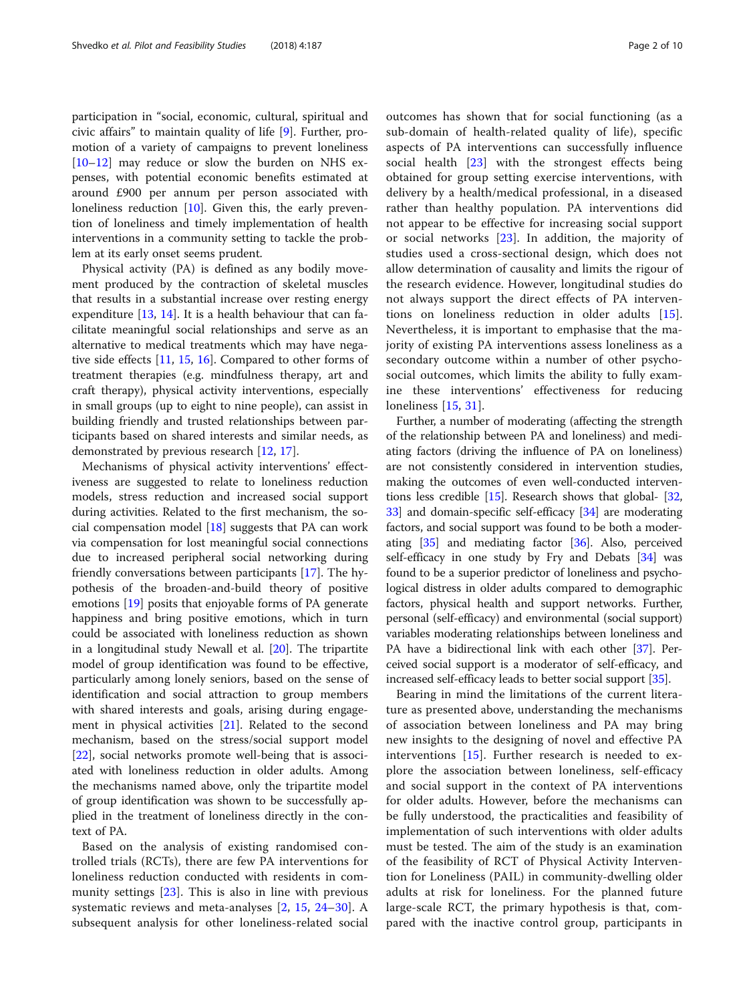participation in "social, economic, cultural, spiritual and civic affairs" to maintain quality of life [[9](#page-8-0)]. Further, promotion of a variety of campaigns to prevent loneliness  $[10-12]$  $[10-12]$  $[10-12]$  $[10-12]$  $[10-12]$  may reduce or slow the burden on NHS expenses, with potential economic benefits estimated at around £900 per annum per person associated with loneliness reduction [\[10\]](#page-8-0). Given this, the early prevention of loneliness and timely implementation of health interventions in a community setting to tackle the problem at its early onset seems prudent.

Physical activity (PA) is defined as any bodily movement produced by the contraction of skeletal muscles that results in a substantial increase over resting energy expenditure  $[13, 14]$  $[13, 14]$  $[13, 14]$  $[13, 14]$  $[13, 14]$ . It is a health behaviour that can facilitate meaningful social relationships and serve as an alternative to medical treatments which may have negative side effects [[11](#page-8-0), [15,](#page-8-0) [16\]](#page-8-0). Compared to other forms of treatment therapies (e.g. mindfulness therapy, art and craft therapy), physical activity interventions, especially in small groups (up to eight to nine people), can assist in building friendly and trusted relationships between participants based on shared interests and similar needs, as demonstrated by previous research [\[12,](#page-8-0) [17\]](#page-8-0).

Mechanisms of physical activity interventions' effectiveness are suggested to relate to loneliness reduction models, stress reduction and increased social support during activities. Related to the first mechanism, the social compensation model [[18](#page-8-0)] suggests that PA can work via compensation for lost meaningful social connections due to increased peripheral social networking during friendly conversations between participants [\[17\]](#page-8-0). The hypothesis of the broaden-and-build theory of positive emotions [[19](#page-8-0)] posits that enjoyable forms of PA generate happiness and bring positive emotions, which in turn could be associated with loneliness reduction as shown in a longitudinal study Newall et al. [\[20](#page-8-0)]. The tripartite model of group identification was found to be effective, particularly among lonely seniors, based on the sense of identification and social attraction to group members with shared interests and goals, arising during engagement in physical activities [\[21](#page-8-0)]. Related to the second mechanism, based on the stress/social support model [[22\]](#page-8-0), social networks promote well-being that is associated with loneliness reduction in older adults. Among the mechanisms named above, only the tripartite model of group identification was shown to be successfully applied in the treatment of loneliness directly in the context of PA.

Based on the analysis of existing randomised controlled trials (RCTs), there are few PA interventions for loneliness reduction conducted with residents in community settings [\[23](#page-8-0)]. This is also in line with previous systematic reviews and meta-analyses [[2,](#page-8-0) [15,](#page-8-0) [24](#page-8-0)–[30](#page-9-0)]. A subsequent analysis for other loneliness-related social outcomes has shown that for social functioning (as a sub-domain of health-related quality of life), specific aspects of PA interventions can successfully influence social health [\[23](#page-8-0)] with the strongest effects being obtained for group setting exercise interventions, with delivery by a health/medical professional, in a diseased rather than healthy population. PA interventions did not appear to be effective for increasing social support or social networks [[23\]](#page-8-0). In addition, the majority of studies used a cross-sectional design, which does not allow determination of causality and limits the rigour of the research evidence. However, longitudinal studies do not always support the direct effects of PA interventions on loneliness reduction in older adults [\[15](#page-8-0)]. Nevertheless, it is important to emphasise that the majority of existing PA interventions assess loneliness as a secondary outcome within a number of other psychosocial outcomes, which limits the ability to fully examine these interventions' effectiveness for reducing loneliness [[15,](#page-8-0) [31](#page-9-0)].

Further, a number of moderating (affecting the strength of the relationship between PA and loneliness) and mediating factors (driving the influence of PA on loneliness) are not consistently considered in intervention studies, making the outcomes of even well-conducted interventions less credible [\[15](#page-8-0)]. Research shows that global- [[32](#page-9-0), [33](#page-9-0)] and domain-specific self-efficacy [\[34\]](#page-9-0) are moderating factors, and social support was found to be both a moderating  $[35]$  and mediating factor  $[36]$ . Also, perceived self-efficacy in one study by Fry and Debats [[34](#page-9-0)] was found to be a superior predictor of loneliness and psychological distress in older adults compared to demographic factors, physical health and support networks. Further, personal (self-efficacy) and environmental (social support) variables moderating relationships between loneliness and PA have a bidirectional link with each other [\[37\]](#page-9-0). Perceived social support is a moderator of self-efficacy, and increased self-efficacy leads to better social support [[35](#page-9-0)].

Bearing in mind the limitations of the current literature as presented above, understanding the mechanisms of association between loneliness and PA may bring new insights to the designing of novel and effective PA interventions [\[15](#page-8-0)]. Further research is needed to explore the association between loneliness, self-efficacy and social support in the context of PA interventions for older adults. However, before the mechanisms can be fully understood, the practicalities and feasibility of implementation of such interventions with older adults must be tested. The aim of the study is an examination of the feasibility of RCT of Physical Activity Intervention for Loneliness (PAIL) in community-dwelling older adults at risk for loneliness. For the planned future large-scale RCT, the primary hypothesis is that, compared with the inactive control group, participants in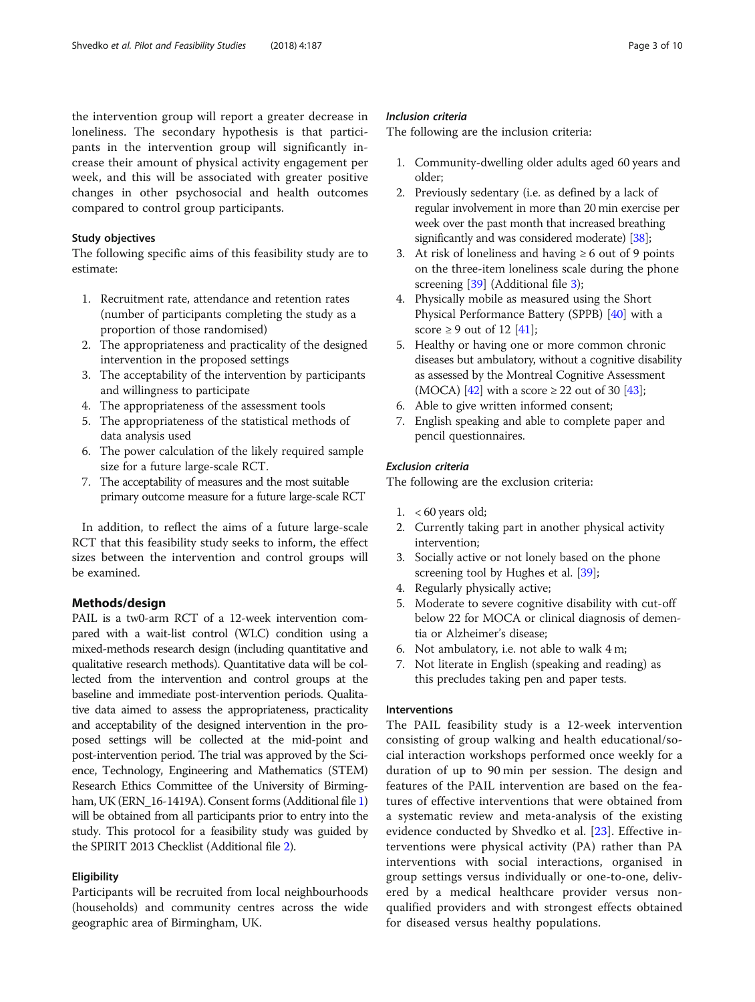the intervention group will report a greater decrease in loneliness. The secondary hypothesis is that participants in the intervention group will significantly increase their amount of physical activity engagement per week, and this will be associated with greater positive changes in other psychosocial and health outcomes compared to control group participants.

#### Study objectives

The following specific aims of this feasibility study are to estimate:

- 1. Recruitment rate, attendance and retention rates (number of participants completing the study as a proportion of those randomised)
- 2. The appropriateness and practicality of the designed intervention in the proposed settings
- 3. The acceptability of the intervention by participants and willingness to participate
- 4. The appropriateness of the assessment tools
- 5. The appropriateness of the statistical methods of data analysis used
- 6. The power calculation of the likely required sample size for a future large-scale RCT.
- 7. The acceptability of measures and the most suitable primary outcome measure for a future large-scale RCT

In addition, to reflect the aims of a future large-scale RCT that this feasibility study seeks to inform, the effect sizes between the intervention and control groups will be examined.

#### Methods/design

PAIL is a tw0-arm RCT of a 12-week intervention compared with a wait-list control (WLC) condition using a mixed-methods research design (including quantitative and qualitative research methods). Quantitative data will be collected from the intervention and control groups at the baseline and immediate post-intervention periods. Qualitative data aimed to assess the appropriateness, practicality and acceptability of the designed intervention in the proposed settings will be collected at the mid-point and post-intervention period. The trial was approved by the Science, Technology, Engineering and Mathematics (STEM) Research Ethics Committee of the University of Birming-ham, UK (ERN\_[1](#page-7-0)6-1419A). Consent forms (Additional file 1) will be obtained from all participants prior to entry into the study. This protocol for a feasibility study was guided by the SPIRIT 2013 Checklist (Additional file [2\)](#page-7-0).

#### Eligibility

Participants will be recruited from local neighbourhoods (households) and community centres across the wide geographic area of Birmingham, UK.

#### Inclusion criteria

The following are the inclusion criteria:

- 1. Community-dwelling older adults aged 60 years and older;
- 2. Previously sedentary (i.e. as defined by a lack of regular involvement in more than 20 min exercise per week over the past month that increased breathing significantly and was considered moderate) [[38\]](#page-9-0);
- 3. At risk of loneliness and having  $\geq 6$  out of 9 points on the three-item loneliness scale during the phone screening [\[39](#page-9-0)] (Additional file [3](#page-7-0));
- 4. Physically mobile as measured using the Short Physical Performance Battery (SPPB) [\[40\]](#page-9-0) with a score  $\geq 9$  out of 12 [\[41\]](#page-9-0);
- 5. Healthy or having one or more common chronic diseases but ambulatory, without a cognitive disability as assessed by the Montreal Cognitive Assessment (MOCA) [\[42](#page-9-0)] with a score  $\geq$  22 out of 30 [[43](#page-9-0)];
- 6. Able to give written informed consent;
- 7. English speaking and able to complete paper and pencil questionnaires.

#### Exclusion criteria

The following are the exclusion criteria:

- 1. < 60 years old;
- 2. Currently taking part in another physical activity intervention;
- 3. Socially active or not lonely based on the phone screening tool by Hughes et al. [\[39\]](#page-9-0);
- 4. Regularly physically active;
- 5. Moderate to severe cognitive disability with cut-off below 22 for MOCA or clinical diagnosis of dementia or Alzheimer's disease;
- 6. Not ambulatory, i.e. not able to walk 4 m;
- 7. Not literate in English (speaking and reading) as this precludes taking pen and paper tests.

#### Interventions

The PAIL feasibility study is a 12-week intervention consisting of group walking and health educational/social interaction workshops performed once weekly for a duration of up to 90 min per session. The design and features of the PAIL intervention are based on the features of effective interventions that were obtained from a systematic review and meta-analysis of the existing evidence conducted by Shvedko et al. [\[23](#page-8-0)]. Effective interventions were physical activity (PA) rather than PA interventions with social interactions, organised in group settings versus individually or one-to-one, delivered by a medical healthcare provider versus nonqualified providers and with strongest effects obtained for diseased versus healthy populations.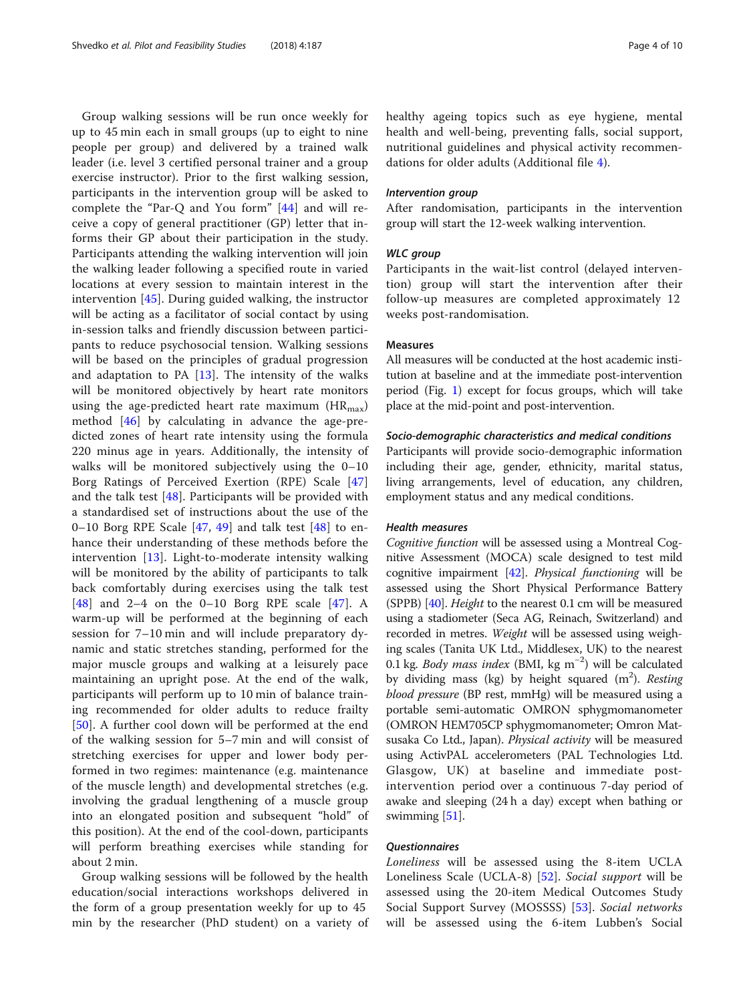Group walking sessions will be run once weekly for up to 45 min each in small groups (up to eight to nine people per group) and delivered by a trained walk leader (i.e. level 3 certified personal trainer and a group exercise instructor). Prior to the first walking session, participants in the intervention group will be asked to complete the "Par-Q and You form" [\[44](#page-9-0)] and will receive a copy of general practitioner (GP) letter that informs their GP about their participation in the study. Participants attending the walking intervention will join the walking leader following a specified route in varied locations at every session to maintain interest in the intervention [[45](#page-9-0)]. During guided walking, the instructor will be acting as a facilitator of social contact by using in-session talks and friendly discussion between participants to reduce psychosocial tension. Walking sessions will be based on the principles of gradual progression and adaptation to PA [[13](#page-8-0)]. The intensity of the walks will be monitored objectively by heart rate monitors using the age-predicted heart rate maximum  $(HR_{max})$ method [[46\]](#page-9-0) by calculating in advance the age-predicted zones of heart rate intensity using the formula 220 minus age in years. Additionally, the intensity of walks will be monitored subjectively using the 0–10 Borg Ratings of Perceived Exertion (RPE) Scale [\[47](#page-9-0)] and the talk test [[48\]](#page-9-0). Participants will be provided with a standardised set of instructions about the use of the 0–10 Borg RPE Scale  $[47, 49]$  $[47, 49]$  $[47, 49]$  and talk test  $[48]$  $[48]$  to enhance their understanding of these methods before the intervention [[13](#page-8-0)]. Light-to-moderate intensity walking will be monitored by the ability of participants to talk back comfortably during exercises using the talk test [[48\]](#page-9-0) and 2–4 on the 0–10 Borg RPE scale [\[47](#page-9-0)]. A warm-up will be performed at the beginning of each session for 7–10 min and will include preparatory dynamic and static stretches standing, performed for the major muscle groups and walking at a leisurely pace maintaining an upright pose. At the end of the walk, participants will perform up to 10 min of balance training recommended for older adults to reduce frailty [[50\]](#page-9-0). A further cool down will be performed at the end of the walking session for 5–7 min and will consist of stretching exercises for upper and lower body performed in two regimes: maintenance (e.g. maintenance of the muscle length) and developmental stretches (e.g. involving the gradual lengthening of a muscle group into an elongated position and subsequent "hold" of this position). At the end of the cool-down, participants will perform breathing exercises while standing for about 2 min.

Group walking sessions will be followed by the health education/social interactions workshops delivered in the form of a group presentation weekly for up to 45 min by the researcher (PhD student) on a variety of healthy ageing topics such as eye hygiene, mental health and well-being, preventing falls, social support, nutritional guidelines and physical activity recommendations for older adults (Additional file [4](#page-7-0)).

#### Intervention group

After randomisation, participants in the intervention group will start the 12-week walking intervention.

#### WLC group

Participants in the wait-list control (delayed intervention) group will start the intervention after their follow-up measures are completed approximately 12 weeks post-randomisation.

#### Measures

All measures will be conducted at the host academic institution at baseline and at the immediate post-intervention period (Fig. [1](#page-4-0)) except for focus groups, which will take place at the mid-point and post-intervention.

#### Socio-demographic characteristics and medical conditions

Participants will provide socio-demographic information including their age, gender, ethnicity, marital status, living arrangements, level of education, any children, employment status and any medical conditions.

#### Health measures

Cognitive function will be assessed using a Montreal Cognitive Assessment (MOCA) scale designed to test mild cognitive impairment [[42](#page-9-0)]. Physical functioning will be assessed using the Short Physical Performance Battery (SPPB) [\[40\]](#page-9-0). Height to the nearest 0.1 cm will be measured using a stadiometer (Seca AG, Reinach, Switzerland) and recorded in metres. Weight will be assessed using weighing scales (Tanita UK Ltd., Middlesex, UK) to the nearest 0.1 kg. Body mass index (BMI, kg m<sup>-2</sup>) will be calculated by dividing mass (kg) by height squared  $(m^2)$ . Resting blood pressure (BP rest, mmHg) will be measured using a portable semi-automatic OMRON sphygmomanometer (OMRON HEM705CP sphygmomanometer; Omron Matsusaka Co Ltd., Japan). Physical activity will be measured using ActivPAL accelerometers (PAL Technologies Ltd. Glasgow, UK) at baseline and immediate postintervention period over a continuous 7-day period of awake and sleeping (24 h a day) except when bathing or swimming [\[51\]](#page-9-0).

#### Questionnaires

Loneliness will be assessed using the 8-item UCLA Loneliness Scale (UCLA-8) [[52](#page-9-0)]. Social support will be assessed using the 20-item Medical Outcomes Study Social Support Survey (MOSSSS) [[53](#page-9-0)]. Social networks will be assessed using the 6-item Lubben's Social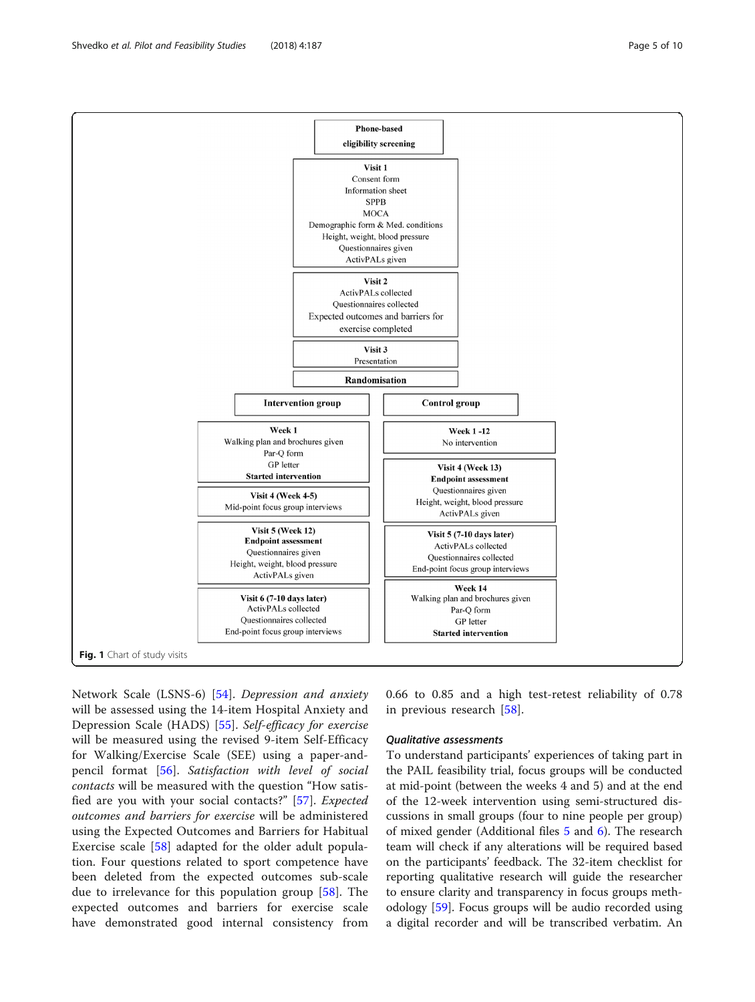Network Scale (LSNS-6) [\[54](#page-9-0)]. Depression and anxiety will be assessed using the 14-item Hospital Anxiety and Depression Scale (HADS) [[55\]](#page-9-0). Self-efficacy for exercise will be measured using the revised 9-item Self-Efficacy for Walking/Exercise Scale (SEE) using a paper-andpencil format [\[56](#page-9-0)]. Satisfaction with level of social contacts will be measured with the question "How satisfied are you with your social contacts?" [\[57](#page-9-0)]. Expected outcomes and barriers for exercise will be administered using the Expected Outcomes and Barriers for Habitual Exercise scale [[58\]](#page-9-0) adapted for the older adult population. Four questions related to sport competence have been deleted from the expected outcomes sub-scale due to irrelevance for this population group [[58\]](#page-9-0). The expected outcomes and barriers for exercise scale have demonstrated good internal consistency from 0.66 to 0.85 and a high test-retest reliability of 0.78 in previous research [[58](#page-9-0)].

#### Qualitative assessments

To understand participants' experiences of taking part in the PAIL feasibility trial, focus groups will be conducted at mid-point (between the weeks 4 and 5) and at the end of the 12-week intervention using semi-structured discussions in small groups (four to nine people per group) of mixed gender (Additional files [5](#page-7-0) and [6](#page-7-0)). The research team will check if any alterations will be required based on the participants' feedback. The 32-item checklist for reporting qualitative research will guide the researcher to ensure clarity and transparency in focus groups methodology [[59](#page-9-0)]. Focus groups will be audio recorded using a digital recorder and will be transcribed verbatim. An

<span id="page-4-0"></span>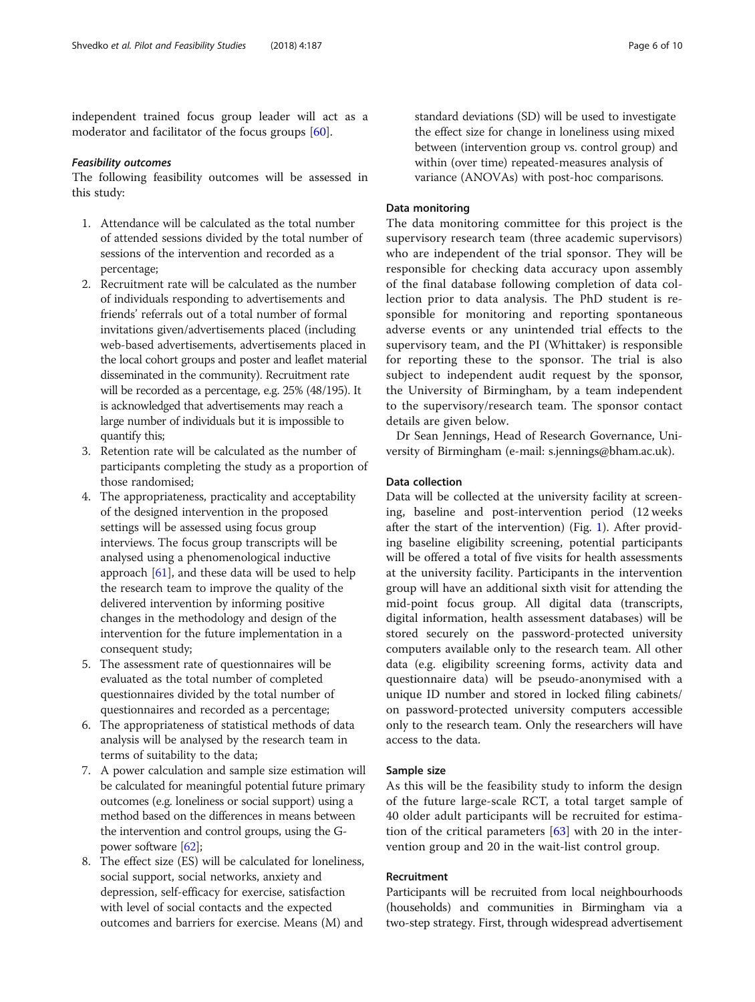independent trained focus group leader will act as a moderator and facilitator of the focus groups [\[60](#page-9-0)].

#### Feasibility outcomes

The following feasibility outcomes will be assessed in this study:

- 1. Attendance will be calculated as the total number of attended sessions divided by the total number of sessions of the intervention and recorded as a percentage;
- 2. Recruitment rate will be calculated as the number of individuals responding to advertisements and friends' referrals out of a total number of formal invitations given/advertisements placed (including web-based advertisements, advertisements placed in the local cohort groups and poster and leaflet material disseminated in the community). Recruitment rate will be recorded as a percentage, e.g. 25% (48/195). It is acknowledged that advertisements may reach a large number of individuals but it is impossible to quantify this;
- 3. Retention rate will be calculated as the number of participants completing the study as a proportion of those randomised;
- 4. The appropriateness, practicality and acceptability of the designed intervention in the proposed settings will be assessed using focus group interviews. The focus group transcripts will be analysed using a phenomenological inductive approach  $[61]$  $[61]$  $[61]$ , and these data will be used to help the research team to improve the quality of the delivered intervention by informing positive changes in the methodology and design of the intervention for the future implementation in a consequent study;
- 5. The assessment rate of questionnaires will be evaluated as the total number of completed questionnaires divided by the total number of questionnaires and recorded as a percentage;
- 6. The appropriateness of statistical methods of data analysis will be analysed by the research team in terms of suitability to the data;
- 7. A power calculation and sample size estimation will be calculated for meaningful potential future primary outcomes (e.g. loneliness or social support) using a method based on the differences in means between the intervention and control groups, using the Gpower software [\[62\]](#page-9-0);
- 8. The effect size (ES) will be calculated for loneliness, social support, social networks, anxiety and depression, self-efficacy for exercise, satisfaction with level of social contacts and the expected outcomes and barriers for exercise. Means (M) and

standard deviations (SD) will be used to investigate the effect size for change in loneliness using mixed between (intervention group vs. control group) and within (over time) repeated-measures analysis of variance (ANOVAs) with post-hoc comparisons.

#### Data monitoring

The data monitoring committee for this project is the supervisory research team (three academic supervisors) who are independent of the trial sponsor. They will be responsible for checking data accuracy upon assembly of the final database following completion of data collection prior to data analysis. The PhD student is responsible for monitoring and reporting spontaneous adverse events or any unintended trial effects to the supervisory team, and the PI (Whittaker) is responsible for reporting these to the sponsor. The trial is also subject to independent audit request by the sponsor, the University of Birmingham, by a team independent to the supervisory/research team. The sponsor contact details are given below.

Dr Sean Jennings, Head of Research Governance, University of Birmingham (e-mail: s.jennings@bham.ac.uk).

#### Data collection

Data will be collected at the university facility at screening, baseline and post-intervention period (12 weeks after the start of the intervention) (Fig. [1](#page-4-0)). After providing baseline eligibility screening, potential participants will be offered a total of five visits for health assessments at the university facility. Participants in the intervention group will have an additional sixth visit for attending the mid-point focus group. All digital data (transcripts, digital information, health assessment databases) will be stored securely on the password-protected university computers available only to the research team. All other data (e.g. eligibility screening forms, activity data and questionnaire data) will be pseudo-anonymised with a unique ID number and stored in locked filing cabinets/ on password-protected university computers accessible only to the research team. Only the researchers will have access to the data.

#### Sample size

As this will be the feasibility study to inform the design of the future large-scale RCT, a total target sample of 40 older adult participants will be recruited for estimation of the critical parameters [[63\]](#page-9-0) with 20 in the intervention group and 20 in the wait-list control group.

#### Recruitment

Participants will be recruited from local neighbourhoods (households) and communities in Birmingham via a two-step strategy. First, through widespread advertisement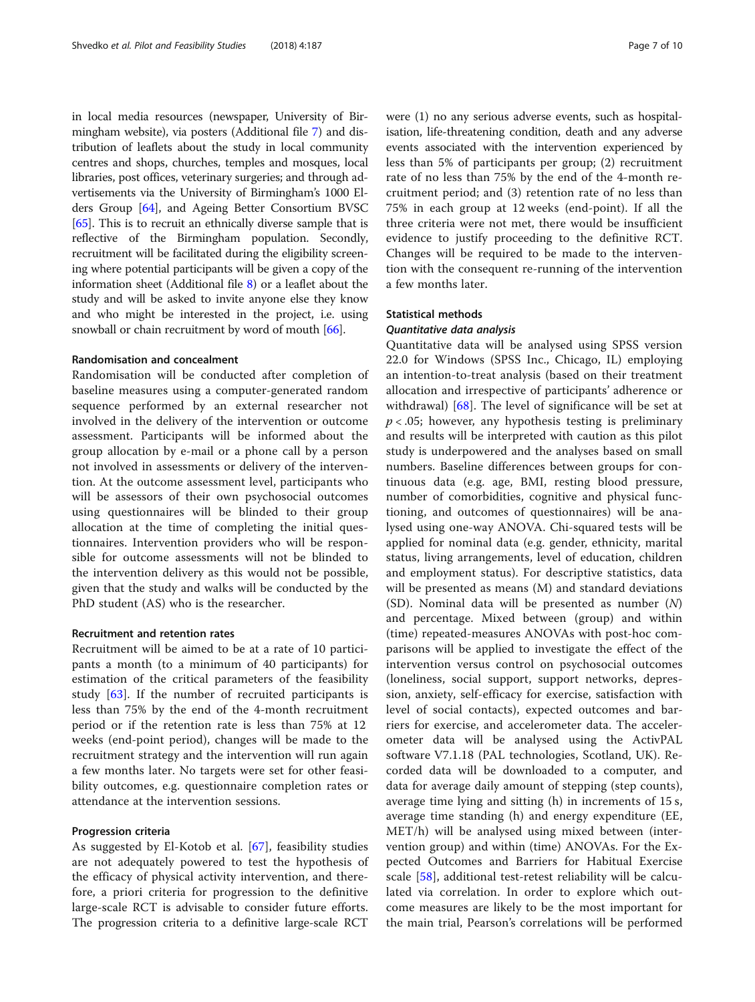in local media resources (newspaper, University of Birmingham website), via posters (Additional file [7](#page-7-0)) and distribution of leaflets about the study in local community centres and shops, churches, temples and mosques, local libraries, post offices, veterinary surgeries; and through advertisements via the University of Birmingham's 1000 Elders Group [\[64](#page-9-0)], and Ageing Better Consortium BVSC [[65](#page-9-0)]. This is to recruit an ethnically diverse sample that is reflective of the Birmingham population. Secondly, recruitment will be facilitated during the eligibility screening where potential participants will be given a copy of the information sheet (Additional file [8\)](#page-7-0) or a leaflet about the study and will be asked to invite anyone else they know and who might be interested in the project, i.e. using snowball or chain recruitment by word of mouth [[66\]](#page-9-0).

#### Randomisation and concealment

Randomisation will be conducted after completion of baseline measures using a computer-generated random sequence performed by an external researcher not involved in the delivery of the intervention or outcome assessment. Participants will be informed about the group allocation by e-mail or a phone call by a person not involved in assessments or delivery of the intervention. At the outcome assessment level, participants who will be assessors of their own psychosocial outcomes using questionnaires will be blinded to their group allocation at the time of completing the initial questionnaires. Intervention providers who will be responsible for outcome assessments will not be blinded to the intervention delivery as this would not be possible, given that the study and walks will be conducted by the PhD student (AS) who is the researcher.

#### Recruitment and retention rates

Recruitment will be aimed to be at a rate of 10 participants a month (to a minimum of 40 participants) for estimation of the critical parameters of the feasibility study [\[63](#page-9-0)]. If the number of recruited participants is less than 75% by the end of the 4-month recruitment period or if the retention rate is less than 75% at 12 weeks (end-point period), changes will be made to the recruitment strategy and the intervention will run again a few months later. No targets were set for other feasibility outcomes, e.g. questionnaire completion rates or attendance at the intervention sessions.

#### Progression criteria

As suggested by El-Kotob et al. [[67](#page-9-0)], feasibility studies are not adequately powered to test the hypothesis of the efficacy of physical activity intervention, and therefore, a priori criteria for progression to the definitive large-scale RCT is advisable to consider future efforts. The progression criteria to a definitive large-scale RCT were (1) no any serious adverse events, such as hospitalisation, life-threatening condition, death and any adverse events associated with the intervention experienced by less than 5% of participants per group; (2) recruitment rate of no less than 75% by the end of the 4-month recruitment period; and (3) retention rate of no less than 75% in each group at 12 weeks (end-point). If all the three criteria were not met, there would be insufficient evidence to justify proceeding to the definitive RCT. Changes will be required to be made to the intervention with the consequent re-running of the intervention a few months later.

#### Statistical methods

#### Quantitative data analysis

Quantitative data will be analysed using SPSS version 22.0 for Windows (SPSS Inc., Chicago, IL) employing an intention-to-treat analysis (based on their treatment allocation and irrespective of participants' adherence or withdrawal)  $[68]$  $[68]$ . The level of significance will be set at  $p < .05$ ; however, any hypothesis testing is preliminary and results will be interpreted with caution as this pilot study is underpowered and the analyses based on small numbers. Baseline differences between groups for continuous data (e.g. age, BMI, resting blood pressure, number of comorbidities, cognitive and physical functioning, and outcomes of questionnaires) will be analysed using one-way ANOVA. Chi-squared tests will be applied for nominal data (e.g. gender, ethnicity, marital status, living arrangements, level of education, children and employment status). For descriptive statistics, data will be presented as means (M) and standard deviations (SD). Nominal data will be presented as number  $(N)$ and percentage. Mixed between (group) and within (time) repeated-measures ANOVAs with post-hoc comparisons will be applied to investigate the effect of the intervention versus control on psychosocial outcomes (loneliness, social support, support networks, depression, anxiety, self-efficacy for exercise, satisfaction with level of social contacts), expected outcomes and barriers for exercise, and accelerometer data. The accelerometer data will be analysed using the ActivPAL software V7.1.18 (PAL technologies, Scotland, UK). Recorded data will be downloaded to a computer, and data for average daily amount of stepping (step counts), average time lying and sitting (h) in increments of 15 s, average time standing (h) and energy expenditure (EE, MET/h) will be analysed using mixed between (intervention group) and within (time) ANOVAs. For the Expected Outcomes and Barriers for Habitual Exercise scale [\[58](#page-9-0)], additional test-retest reliability will be calculated via correlation. In order to explore which outcome measures are likely to be the most important for the main trial, Pearson's correlations will be performed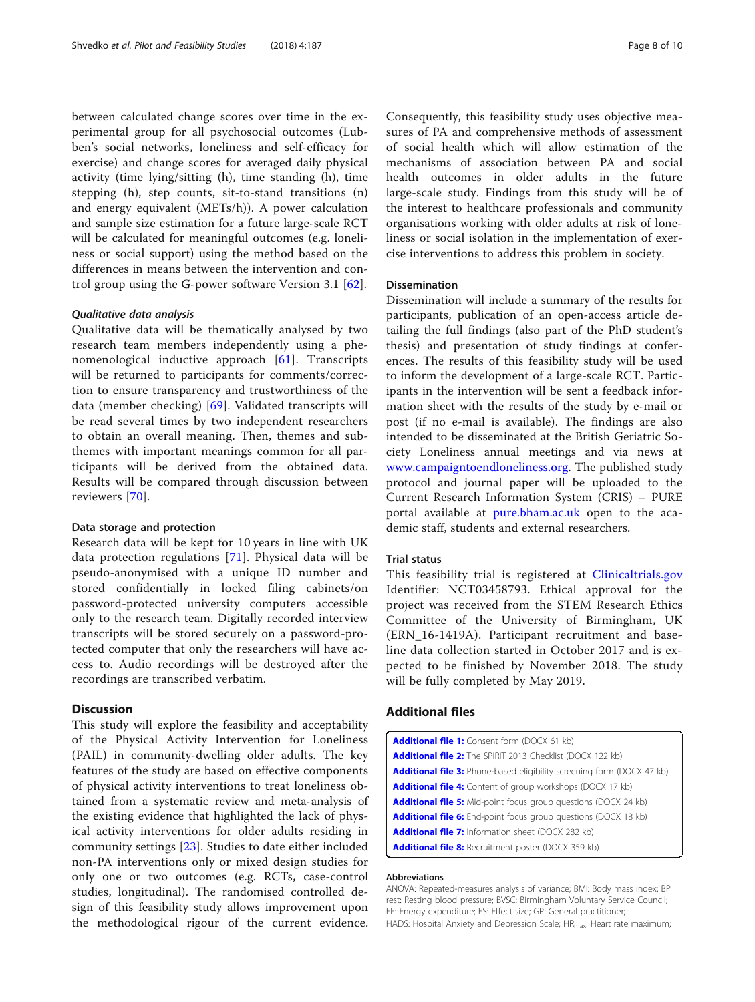<span id="page-7-0"></span>between calculated change scores over time in the experimental group for all psychosocial outcomes (Lubben's social networks, loneliness and self-efficacy for exercise) and change scores for averaged daily physical activity (time lying/sitting (h), time standing (h), time stepping (h), step counts, sit-to-stand transitions (n) and energy equivalent (METs/h)). A power calculation and sample size estimation for a future large-scale RCT will be calculated for meaningful outcomes (e.g. loneliness or social support) using the method based on the differences in means between the intervention and control group using the G-power software Version 3.1 [[62\]](#page-9-0).

#### Qualitative data analysis

Qualitative data will be thematically analysed by two research team members independently using a phenomenological inductive approach [[61](#page-9-0)]. Transcripts will be returned to participants for comments/correction to ensure transparency and trustworthiness of the data (member checking) [[69](#page-9-0)]. Validated transcripts will be read several times by two independent researchers to obtain an overall meaning. Then, themes and subthemes with important meanings common for all participants will be derived from the obtained data. Results will be compared through discussion between reviewers [[70\]](#page-9-0).

#### Data storage and protection

Research data will be kept for 10 years in line with UK data protection regulations [[71](#page-9-0)]. Physical data will be pseudo-anonymised with a unique ID number and stored confidentially in locked filing cabinets/on password-protected university computers accessible only to the research team. Digitally recorded interview transcripts will be stored securely on a password-protected computer that only the researchers will have access to. Audio recordings will be destroyed after the recordings are transcribed verbatim.

#### **Discussion**

This study will explore the feasibility and acceptability of the Physical Activity Intervention for Loneliness (PAIL) in community-dwelling older adults. The key features of the study are based on effective components of physical activity interventions to treat loneliness obtained from a systematic review and meta-analysis of the existing evidence that highlighted the lack of physical activity interventions for older adults residing in community settings [[23\]](#page-8-0). Studies to date either included non-PA interventions only or mixed design studies for only one or two outcomes (e.g. RCTs, case-control studies, longitudinal). The randomised controlled design of this feasibility study allows improvement upon the methodological rigour of the current evidence.

Consequently, this feasibility study uses objective measures of PA and comprehensive methods of assessment of social health which will allow estimation of the mechanisms of association between PA and social health outcomes in older adults in the future large-scale study. Findings from this study will be of the interest to healthcare professionals and community organisations working with older adults at risk of loneliness or social isolation in the implementation of exercise interventions to address this problem in society.

#### Dissemination

Dissemination will include a summary of the results for participants, publication of an open-access article detailing the full findings (also part of the PhD student's thesis) and presentation of study findings at conferences. The results of this feasibility study will be used to inform the development of a large-scale RCT. Participants in the intervention will be sent a feedback information sheet with the results of the study by e-mail or post (if no e-mail is available). The findings are also intended to be disseminated at the British Geriatric Society Loneliness annual meetings and via news at [www.campaigntoendloneliness.org](http://www.campaigntoendloneliness.org). The published study protocol and journal paper will be uploaded to the Current Research Information System (CRIS) – PURE portal available at [pure.bham.ac.uk](http://pure.bham.ac.uk) open to the academic staff, students and external researchers.

#### Trial status

This feasibility trial is registered at [Clinicaltrials.gov](http://clinicaltrials.gov) Identifier: NCT03458793. Ethical approval for the project was received from the STEM Research Ethics Committee of the University of Birmingham, UK (ERN\_16-1419A). Participant recruitment and baseline data collection started in October 2017 and is expected to be finished by November 2018. The study will be fully completed by May 2019.

#### Additional files

| <b>Additional file 1:</b> Consent form (DOCX 61 kb)                           |
|-------------------------------------------------------------------------------|
| Additional file 2: The SPIRIT 2013 Checklist (DOCX 122 kb)                    |
| <b>Additional file 3:</b> Phone-based eligibility screening form (DOCX 47 kb) |
| <b>Additional file 4:</b> Content of group workshops (DOCX 17 kb)             |
| <b>Additional file 5:</b> Mid-point focus group questions (DOCX 24 kb)        |
| <b>Additional file 6:</b> End-point focus group questions (DOCX 18 kb)        |
| <b>Additional file 7:</b> Information sheet (DOCX 282 kb)                     |
| <b>Additional file 8: Recruitment poster (DOCX 359 kb)</b>                    |

#### Abbreviations

ANOVA: Repeated-measures analysis of variance; BMI: Body mass index; BP rest: Resting blood pressure; BVSC: Birmingham Voluntary Service Council; EE: Energy expenditure; ES: Effect size; GP: General practitioner; HADS: Hospital Anxiety and Depression Scale; HR<sub>max</sub>: Heart rate maximum;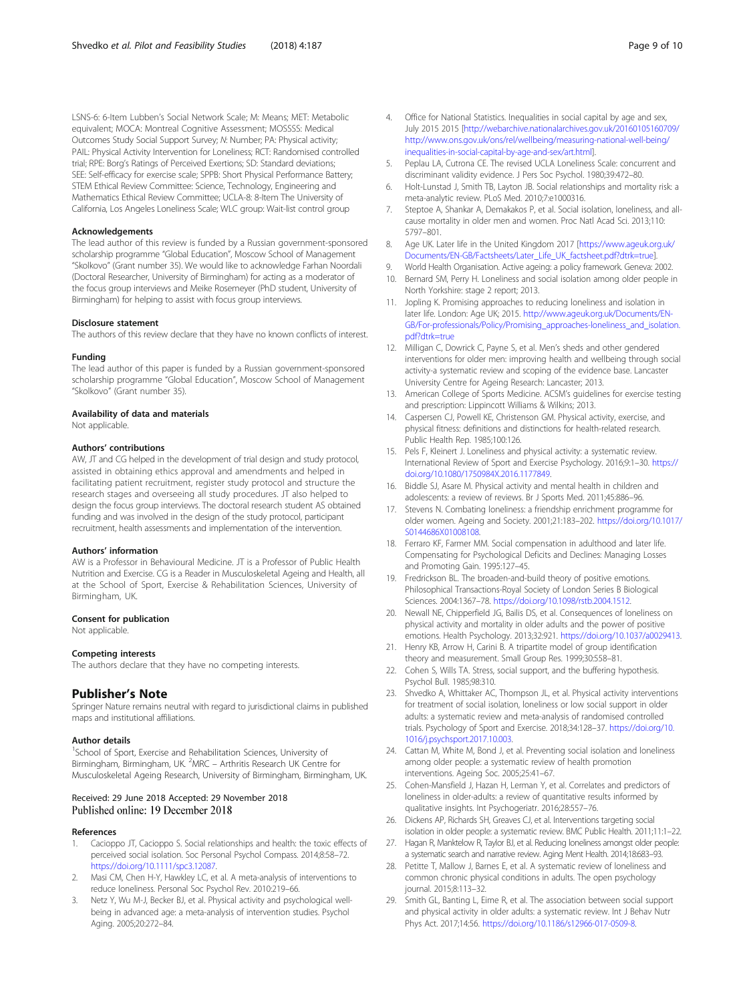<span id="page-8-0"></span>LSNS-6: 6-Item Lubben's Social Network Scale; M: Means; MET: Metabolic equivalent; MOCA: Montreal Cognitive Assessment; MOSSSS: Medical Outcomes Study Social Support Survey; N: Number; PA: Physical activity; PAIL: Physical Activity Intervention for Loneliness; RCT: Randomised controlled trial; RPE: Borg's Ratings of Perceived Exertions; SD: Standard deviations; SEE: Self-efficacy for exercise scale; SPPB: Short Physical Performance Battery; STEM Ethical Review Committee: Science, Technology, Engineering and Mathematics Ethical Review Committee; UCLA-8: 8-Item The University of California, Los Angeles Loneliness Scale; WLC group: Wait-list control group

#### Acknowledgements

The lead author of this review is funded by a Russian government-sponsored scholarship programme "Global Education", Moscow School of Management "Skolkovo" (Grant number 35). We would like to acknowledge Farhan Noordali (Doctoral Researcher, University of Birmingham) for acting as a moderator of the focus group interviews and Meike Rosemeyer (PhD student, University of Birmingham) for helping to assist with focus group interviews.

#### Disclosure statement

The authors of this review declare that they have no known conflicts of interest.

#### Funding

The lead author of this paper is funded by a Russian government-sponsored scholarship programme "Global Education", Moscow School of Management "Skolkovo" (Grant number 35).

#### Availability of data and materials

Not applicable.

#### Authors' contributions

AW, JT and CG helped in the development of trial design and study protocol, assisted in obtaining ethics approval and amendments and helped in facilitating patient recruitment, register study protocol and structure the research stages and overseeing all study procedures. JT also helped to design the focus group interviews. The doctoral research student AS obtained funding and was involved in the design of the study protocol, participant recruitment, health assessments and implementation of the intervention.

#### Authors' information

AW is a Professor in Behavioural Medicine. JT is a Professor of Public Health Nutrition and Exercise. CG is a Reader in Musculoskeletal Ageing and Health, all at the School of Sport, Exercise & Rehabilitation Sciences, University of Birmingham, UK.

#### Consent for publication

Not applicable.

#### Competing interests

The authors declare that they have no competing interests.

#### Publisher's Note

Springer Nature remains neutral with regard to jurisdictional claims in published maps and institutional affiliations.

#### Author details

<sup>1</sup>School of Sport, Exercise and Rehabilitation Sciences, University of Birmingham, Birmingham, UK. <sup>2</sup>MRC - Arthritis Research UK Centre for Musculoskeletal Ageing Research, University of Birmingham, Birmingham, UK.

# Received: 29 June 2018 Accepted: 29 November 2018

#### References

- 1. Cacioppo JT, Cacioppo S. Social relationships and health: the toxic effects of perceived social isolation. Soc Personal Psychol Compass. 2014;8:58–72. <https://doi.org/10.1111/spc3.12087>.
- 2. Masi CM, Chen H-Y, Hawkley LC, et al. A meta-analysis of interventions to reduce loneliness. Personal Soc Psychol Rev. 2010:219–66.
- 3. Netz Y, Wu M-J, Becker BJ, et al. Physical activity and psychological wellbeing in advanced age: a meta-analysis of intervention studies. Psychol Aging. 2005;20:272–84.
- 4. Office for National Statistics. Inequalities in social capital by age and sex, July 2015 2015 [\[http://webarchive.nationalarchives.gov.uk/20160105160709/](http://webarchive.nationalarchives.gov.uk/20160105160709/http://www.ons.gov.uk/ons/rel/wellbeing/measuring-national-well-being/inequalities-in-social-capital-by-age-and-sex/art.html) [http://www.ons.gov.uk/ons/rel/wellbeing/measuring-national-well-being/](http://webarchive.nationalarchives.gov.uk/20160105160709/http://www.ons.gov.uk/ons/rel/wellbeing/measuring-national-well-being/inequalities-in-social-capital-by-age-and-sex/art.html) [inequalities-in-social-capital-by-age-and-sex/art.html](http://webarchive.nationalarchives.gov.uk/20160105160709/http://www.ons.gov.uk/ons/rel/wellbeing/measuring-national-well-being/inequalities-in-social-capital-by-age-and-sex/art.html)].
- 5. Peplau LA, Cutrona CE. The revised UCLA Loneliness Scale: concurrent and discriminant validity evidence. J Pers Soc Psychol. 1980;39:472–80.
- 6. Holt-Lunstad J, Smith TB, Layton JB. Social relationships and mortality risk: a meta-analytic review. PLoS Med. 2010;7:e1000316.
- 7. Steptoe A, Shankar A, Demakakos P, et al. Social isolation, loneliness, and allcause mortality in older men and women. Proc Natl Acad Sci. 2013;110: 5797–801.
- 8. Age UK. Later life in the United Kingdom 2017 [\[https://www.ageuk.org.uk/](https://www.ageuk.org.uk/Documents/EN-GB/Factsheets/Later_Life_UK_factsheet.pdf?dtrk=true) [Documents/EN-GB/Factsheets/Later\\_Life\\_UK\\_factsheet.pdf?dtrk=true\]](https://www.ageuk.org.uk/Documents/EN-GB/Factsheets/Later_Life_UK_factsheet.pdf?dtrk=true).
- 9. World Health Organisation. Active ageing: a policy framework. Geneva: 2002. 10. Bernard SM, Perry H. Loneliness and social isolation among older people in North Yorkshire: stage 2 report; 2013.
- 11. Jopling K. Promising approaches to reducing loneliness and isolation in later life. London: Age UK; 2015. [http://www.ageuk.org.uk/Documents/EN-](http://www.ageuk.org.uk/Documents/EN-GB/For-professionals/Policy/Promising_approaches-loneliness_and_isolation.pdf?dtrk=true)[GB/For-professionals/Policy/Promising\\_approaches-loneliness\\_and\\_isolation.](http://www.ageuk.org.uk/Documents/EN-GB/For-professionals/Policy/Promising_approaches-loneliness_and_isolation.pdf?dtrk=true) [pdf?dtrk=true](http://www.ageuk.org.uk/Documents/EN-GB/For-professionals/Policy/Promising_approaches-loneliness_and_isolation.pdf?dtrk=true)
- 12. Milligan C, Dowrick C, Payne S, et al. Men's sheds and other gendered interventions for older men: improving health and wellbeing through social activity-a systematic review and scoping of the evidence base. Lancaster University Centre for Ageing Research: Lancaster; 2013.
- 13. American College of Sports Medicine. ACSM's guidelines for exercise testing and prescription: Lippincott Williams & Wilkins; 2013.
- 14. Caspersen CJ, Powell KE, Christenson GM, Physical activity, exercise, and physical fitness: definitions and distinctions for health-related research. Public Health Rep. 1985;100:126.
- 15. Pels F, Kleinert J. Loneliness and physical activity: a systematic review. International Review of Sport and Exercise Psychology. 2016;9:1–30. [https://](https://doi.org/10.1080/1750984X.2016.1177849) [doi.org/10.1080/1750984X.2016.1177849.](https://doi.org/10.1080/1750984X.2016.1177849)
- 16. Biddle SJ, Asare M. Physical activity and mental health in children and adolescents: a review of reviews. Br J Sports Med. 2011;45:886–96.
- 17. Stevens N. Combating loneliness: a friendship enrichment programme for older women. Ageing and Society. 2001;21:183–202. [https://doi.org/10.1017/](https://doi.org/10.1017/S0144686X01008108) [S0144686X01008108](https://doi.org/10.1017/S0144686X01008108).
- 18. Ferraro KF, Farmer MM. Social compensation in adulthood and later life. Compensating for Psychological Deficits and Declines: Managing Losses and Promoting Gain. 1995:127–45.
- 19. Fredrickson BL. The broaden-and-build theory of positive emotions. Philosophical Transactions-Royal Society of London Series B Biological Sciences. 2004:1367–78. <https://doi.org/10.1098/rstb.2004.1512>.
- 20. Newall NE, Chipperfield JG, Bailis DS, et al. Consequences of loneliness on physical activity and mortality in older adults and the power of positive emotions. Health Psychology. 2013;32:921. [https://doi.org/10.1037/a0029413.](https://doi.org/10.1037/a0029413)
- 21. Henry KB, Arrow H, Carini B. A tripartite model of group identification theory and measurement. Small Group Res. 1999;30:558–81.
- 22. Cohen S, Wills TA. Stress, social support, and the buffering hypothesis. Psychol Bull. 1985;98:310.
- 23. Shvedko A, Whittaker AC, Thompson JL, et al. Physical activity interventions for treatment of social isolation, loneliness or low social support in older adults: a systematic review and meta-analysis of randomised controlled trials. Psychology of Sport and Exercise. 2018;34:128–37. [https://doi.org/10.](https://doi.org/10.1016/j.psychsport.2017.10.003) [1016/j.psychsport.2017.10.003.](https://doi.org/10.1016/j.psychsport.2017.10.003)
- 24. Cattan M, White M, Bond J, et al. Preventing social isolation and loneliness among older people: a systematic review of health promotion interventions. Ageing Soc. 2005;25:41–67.
- 25. Cohen-Mansfield J, Hazan H, Lerman Y, et al. Correlates and predictors of loneliness in older-adults: a review of quantitative results informed by qualitative insights. Int Psychogeriatr. 2016;28:557–76.
- 26. Dickens AP, Richards SH, Greaves CJ, et al. Interventions targeting social isolation in older people: a systematic review. BMC Public Health. 2011;11:1–22.
- 27. Hagan R, Manktelow R, Taylor BJ, et al. Reducing loneliness amongst older people: a systematic search and narrative review. Aging Ment Health. 2014;18:683–93.
- 28. Petitte T, Mallow J, Barnes E, et al. A systematic review of loneliness and common chronic physical conditions in adults. The open psychology journal. 2015;8:113–32.
- 29. Smith GL, Banting L, Eime R, et al. The association between social support and physical activity in older adults: a systematic review. Int J Behav Nutr Phys Act. 2017;14:56. <https://doi.org/10.1186/s12966-017-0509-8>.